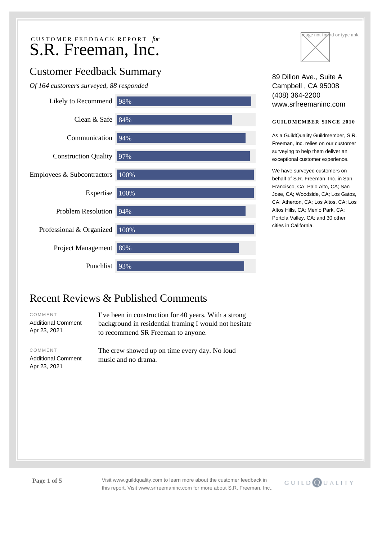# Customer Feedback Summary

*Of 164 customers surveyed, 88 responded*





89 Dillon Ave., Suite A Campbell , CA 95008 (408) 364-2200 www.srfreemaninc.com

# **GUILDMEMBER SINCE 2010**

As a GuildQuality Guildmember, S.R. Freeman, Inc. relies on our customer surveying to help them deliver an exceptional customer experience.

We have surveyed customers on behalf of S.R. Freeman, Inc. in San Francisco, CA; Palo Alto, CA; San Jose, CA; Woodside, CA; Los Gatos, CA; Atherton, CA; Los Altos, CA; Los Altos Hills, CA; Menlo Park, CA; Portola Valley, CA; and 30 other cities in California.

# Recent Reviews & Published Comments

COMMENT

Additional Comment Apr 23, 2021

I've been in construction for 40 years. With a strong background in residential framing I would not hesitate to recommend SR Freeman to anyone.

COMMENT

Additional Comment Apr 23, 2021

The crew showed up on time every day. No loud music and no drama.



**Page 1 of 5** Visit www.guildquality.com to learn more about the customer feedback in this report. Visit www.srfreemaninc.com for more about S.R. Freeman, Inc..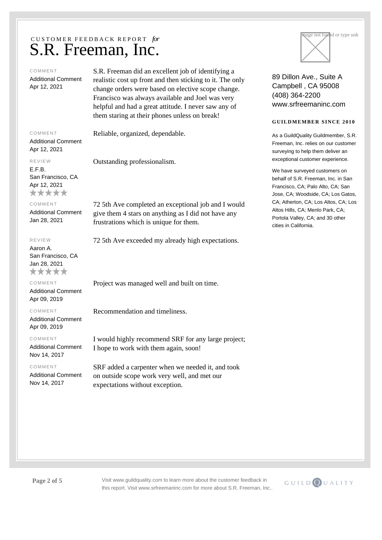### COMMENT

Additional Comment Apr 12, 2021

COMMENT

Additional Comment Apr 12, 2021

### REVIEW

E.F.B. San Francisco, CA Apr 12, 2021 \*\*\*\*\*

COMMENT

Additional Comment Jan 28, 2021

#### REVIEW

Aaron A. San Francisco, CA Jan 28, 2021 \*\*\*\*\*

# COMMENT

Additional Comment Apr 09, 2019

COMMENT

Additional Comment Apr 09, 2019

COMMENT

Additional Comment Nov 14, 2017

#### COMMENT

Additional Comment Nov 14, 2017

S.R. Freeman did an excellent job of identifying a realistic cost up front and then sticking to it. The only change orders were based on elective scope change. Francisco was always available and Joel was very helpful and had a great attitude. I never saw any of them staring at their phones unless on break!

Reliable, organized, dependable.

Outstanding professionalism.

72 5th Ave completed an exceptional job and I would give them 4 stars on anything as I did not have any frustrations which is unique for them.

72 5th Ave exceeded my already high expectations.

Project was managed well and built on time.

Recommendation and timeliness.

I would highly recommend SRF for any large project; I hope to work with them again, soon!

SRF added a carpenter when we needed it, and took on outside scope work very well, and met our expectations without exception.



89 Dillon Ave., Suite A Campbell , CA 95008 (408) 364-2200 www.srfreemaninc.com

# **GUILDMEMBER SINCE 2010**

As a GuildQuality Guildmember, S.R. Freeman, Inc. relies on our customer surveying to help them deliver an exceptional customer experience.

We have surveyed customers on behalf of S.R. Freeman, Inc. in San Francisco, CA; Palo Alto, CA; San Jose, CA; Woodside, CA; Los Gatos, CA; Atherton, CA; Los Altos, CA; Los Altos Hills, CA; Menlo Park, CA; Portola Valley, CA; and 30 other cities in California.



**Page 2 of 5** Visit www.guildquality.com to learn more about the customer feedback in this report. Visit www.srfreemaninc.com for more about S.R. Freeman, Inc..

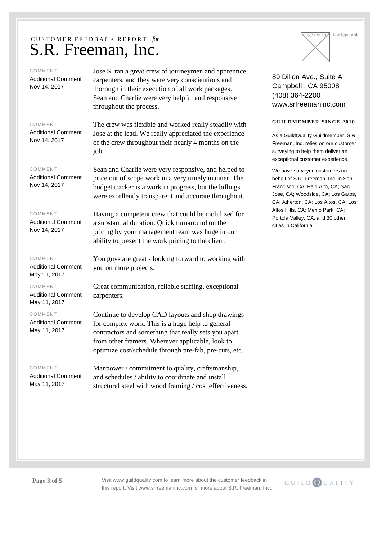### COMMENT

Additional Comment Nov 14, 2017

Jose S. ran a great crew of journeymen and apprentice carpenters, and they were very conscientious and thorough in their execution of all work packages. Sean and Charlie were very helpful and responsive throughout the process.

## COMMENT

Additional Comment Nov 14, 2017

### COMMENT

Additional Comment Nov 14, 2017

## COMMENT

Additional Comment Nov 14, 2017

### COMMENT

Additional Comment May 11, 2017

COMMENT

Additional Comment May 11, 2017

## COMMENT

Additional Comment May 11, 2017

## COMMENT

Additional Comment May 11, 2017

The crew was flexible and worked really steadily with Jose at the lead. We really appreciated the experience of the crew throughout their nearly 4 months on the job.

Sean and Charlie were very responsive, and helped to price out of scope work in a very timely manner. The budget tracker is a work in progress, but the billings were excellently transparent and accurate throughout.

Having a competent crew that could be mobilized for a substantial duration. Quick turnaround on the pricing by your management team was huge in our ability to present the work pricing to the client.

You guys are great - looking forward to working with you on more projects.

Great communication, reliable staffing, exceptional carpenters.

Continue to develop CAD layouts and shop drawings for complex work. This is a huge help to general contractors and something that really sets you apart from other framers. Wherever applicable, look to optimize cost/schedule through pre-fab, pre-cuts, etc.

Manpower / commitment to quality, craftsmanship, and schedules / ability to coordinate and install structural steel with wood framing / cost effectiveness.



89 Dillon Ave., Suite A Campbell , CA 95008 (408) 364-2200 www.srfreemaninc.com

# **GUILDMEMBER SINCE 2010**

As a GuildQuality Guildmember, S.R. Freeman, Inc. relies on our customer surveying to help them deliver an exceptional customer experience.

We have surveyed customers on behalf of S.R. Freeman, Inc. in San Francisco, CA; Palo Alto, CA; San Jose, CA; Woodside, CA; Los Gatos, CA; Atherton, CA; Los Altos, CA; Los Altos Hills, CA; Menlo Park, CA; Portola Valley, CA; and 30 other cities in California.



**Page 3 of 5** Visit www.guildquality.com to learn more about the customer feedback in this report. Visit www.srfreemaninc.com for more about S.R. Freeman, Inc..

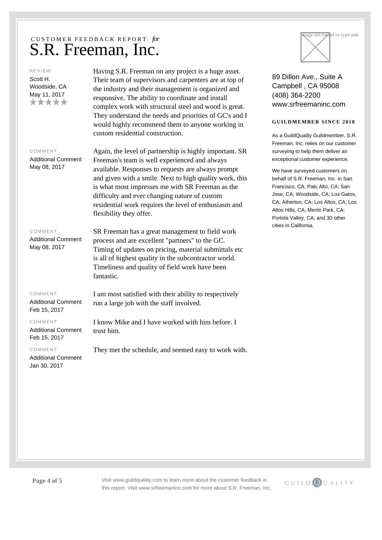## REVIEW

Scott H. Woodside, CA May 11, 2017 \*\*\*\*\* Having S.R. Freeman on any project is a huge asset. Their team of supervisors and carpenters are at top of the industry and their management is organized and responsive. The ability to coordinate and install complex work with structural steel and wood is great. They understand the needs and priorities of GC's and I would highly recommend them to anyone working in custom residential construction.

## COMMENT

Additional Comment May 08, 2017

Again, the level of partnership is highly important. SR Freeman's team is well experienced and always available. Responses to requests are always prompt and given with a smile. Next to high quality work, this is what most impresses me with SR Freeman as the difficulty and ever changing nature of custom residential work requires the level of enthusiasm and flexibility they offer.

#### COMMENT

Additional Comment May 08, 2017

# COMMENT

Additional Comment Feb 15, 2017

## COMMENT

Additional Comment Feb 15, 2017

COMMENT

Additional Comment Jan 30, 2017

SR Freeman has a great management to field work process and are excellent "partners" to the GC. Timing of updates on pricing, material submittals etc is all of highest quality in the subcontractor world. Timeliness and quality of field work have been fantastic.

I am most satisfied with their ability to respectively run a large job with the staff involved.

I know Mike and I have worked with him before. I trust him.

They met the schedule, and seemed easy to work with.



89 Dillon Ave., Suite A Campbell , CA 95008 (408) 364-2200 www.srfreemaninc.com

# **GUILDMEMBER SINCE 2010**

As a GuildQuality Guildmember, S.R. Freeman, Inc. relies on our customer surveying to help them deliver an exceptional customer experience.

We have surveyed customers on behalf of S.R. Freeman, Inc. in San Francisco, CA; Palo Alto, CA; San Jose, CA; Woodside, CA; Los Gatos, CA; Atherton, CA; Los Altos, CA; Los Altos Hills, CA; Menlo Park, CA; Portola Valley, CA; and 30 other cities in California.

**Page 4 of 5** Visit www.guildquality.com to learn more about the customer feedback in this report. Visit www.srfreemaninc.com for more about S.R. Freeman, Inc..